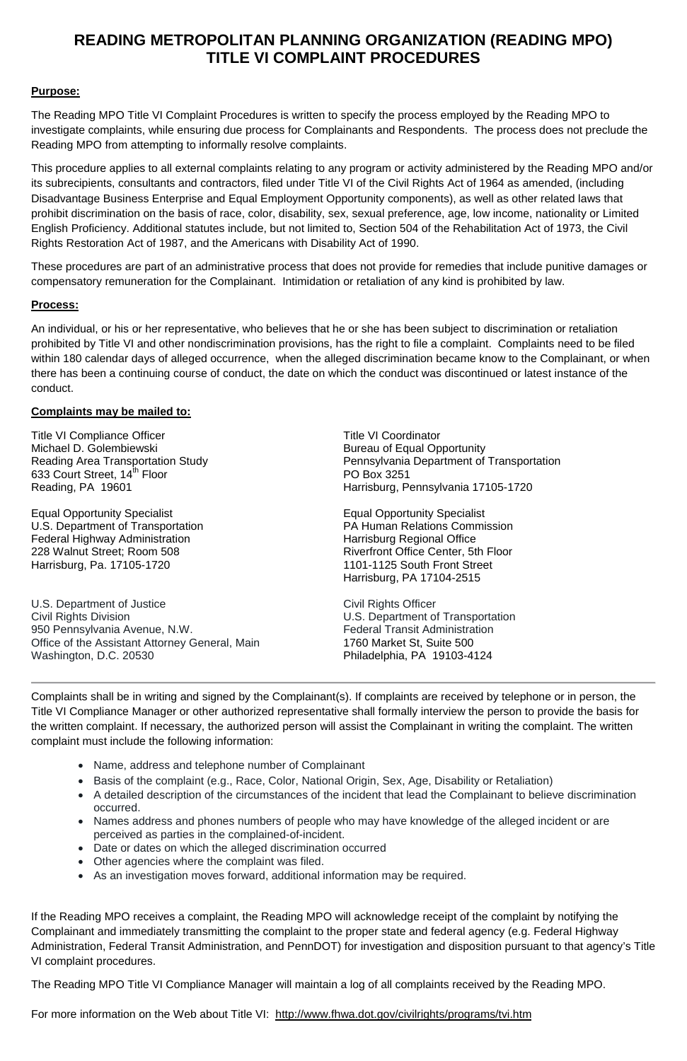# **READING METROPOLITAN PLANNING ORGANIZATION (READING MPO) TITLE VI COMPLAINT PROCEDURES**

## **Purpose:**

The Reading MPO Title VI Complaint Procedures is written to specify the process employed by the Reading MPO to investigate complaints, while ensuring due process for Complainants and Respondents. The process does not preclude the Reading MPO from attempting to informally resolve complaints.

This procedure applies to all external complaints relating to any program or activity administered by the Reading MPO and/or its subrecipients, consultants and contractors, filed under Title VI of the Civil Rights Act of 1964 as amended, (including Disadvantage Business Enterprise and Equal Employment Opportunity components), as well as other related laws that prohibit discrimination on the basis of race, color, disability, sex, sexual preference, age, low income, nationality or Limited English Proficiency. Additional statutes include, but not limited to, Section 504 of the Rehabilitation Act of 1973, the Civil Rights Restoration Act of 1987, and the Americans with Disability Act of 1990.

These procedures are part of an administrative process that does not provide for remedies that include punitive damages or compensatory remuneration for the Complainant. Intimidation or retaliation of any kind is prohibited by law.

### **Process:**

An individual, or his or her representative, who believes that he or she has been subject to discrimination or retaliation prohibited by Title VI and other nondiscrimination provisions, has the right to file a complaint. Complaints need to be filed within 180 calendar days of alleged occurrence, when the alleged discrimination became know to the Complainant, or when there has been a continuing course of conduct, the date on which the conduct was discontinued or latest instance of the conduct.

#### **Complaints may be mailed to:**

Title VI Compliance Officer Title VI Coordinator Michael D. Golembiewski **Bureau of Equal Opportunity** 633 Court Street, 14<sup>th</sup> Floor PO Box 3251

Equal Opportunity Specialist<br>
U.S. Department of Transportation<br>
U.S. Department of Transportation<br>
COMERCIE STAND PA Human Relations Commission U.S. Department of Transportation Federal Highway Administration **Federal Highway Administration** Harrisburg Regional Office 228 Walnut Street; Room 508 **Riverfront Office Center, 5th Floor** Harrisburg, Pa. 17105-1720 1101-1125 South Front Street

U.S. Department of Justice Civil Rights Officer Civil Rights Division U.S. Department of Transportation 950 Pennsylvania Avenue, N.W. The Contract Contract Federal Transit Administration Office of the Assistant Attorney General, Main 1760 Market St, Suite 500 Washington, D.C. 20530 Washington, D.C. 20530

Reading Area Transportation Study **Pennsylvania Department of Transportation** Reading, PA 19601 **Reading, PA 19601** Harrisburg, Pennsylvania 17105-1720

Harrisburg, PA 17104-2515

Complaints shall be in writing and signed by the Complainant(s). If complaints are received by telephone or in person, the Title VI Compliance Manager or other authorized representative shall formally interview the person to provide the basis for the written complaint. If necessary, the authorized person will assist the Complainant in writing the complaint. The written complaint must include the following information:

- Name, address and telephone number of Complainant
- Basis of the complaint (e.g., Race, Color, National Origin, Sex, Age, Disability or Retaliation)
- 
- A detailed description of the circumstances of the incident that lead the Complainant to believe discrimination occurred.
- Names address and phones numbers of people who may have knowledge of the alleged incident or are perceived as parties in the complained-of-incident.
- Date or dates on which the alleged discrimination occurred
- Other agencies where the complaint was filed.
- As an investigation moves forward, additional information may be required.

If the Reading MPO receives a complaint, the Reading MPO will acknowledge receipt of the complaint by notifying the Complainant and immediately transmitting the complaint to the proper state and federal agency (e.g. Federal Highway Administration, Federal Transit Administration, and PennDOT) for investigation and disposition pursuant to that agency's Title VI complaint procedures.

The Reading MPO Title VI Compliance Manager will maintain a log of all complaints received by the Reading MPO.

For more information on the Web about Title VI: <http://www.fhwa.dot.gov/civilrights/programs/tvi.htm>